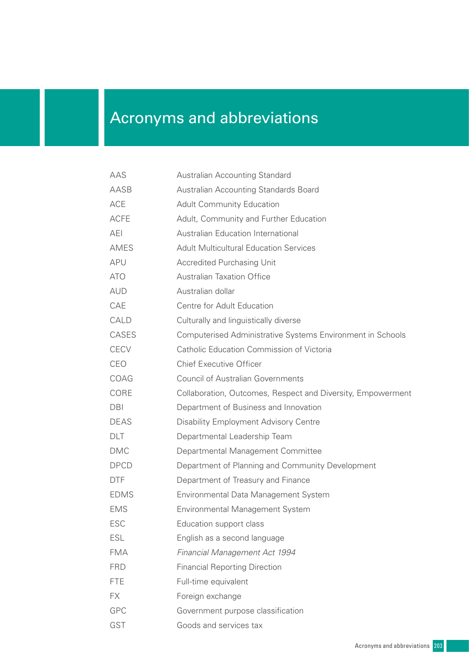## Acronyms and abbreviations

| AAS          | Australian Accounting Standard                              |
|--------------|-------------------------------------------------------------|
| AASB         | Australian Accounting Standards Board                       |
| <b>ACE</b>   | <b>Adult Community Education</b>                            |
| <b>ACFE</b>  | Adult, Community and Further Education                      |
| AEI          | Australian Education International                          |
| <b>AMES</b>  | <b>Adult Multicultural Education Services</b>               |
| <b>APU</b>   | <b>Accredited Purchasing Unit</b>                           |
| <b>ATO</b>   | <b>Australian Taxation Office</b>                           |
| <b>AUD</b>   | Australian dollar                                           |
| CAE          | Centre for Adult Education                                  |
| CALD         | Culturally and linguistically diverse                       |
| <b>CASES</b> | Computerised Administrative Systems Environment in Schools  |
| <b>CECV</b>  | Catholic Education Commission of Victoria                   |
| CEO          | <b>Chief Executive Officer</b>                              |
| COAG         | <b>Council of Australian Governments</b>                    |
| CORE         | Collaboration, Outcomes, Respect and Diversity, Empowerment |
| <b>DBI</b>   | Department of Business and Innovation                       |
| <b>DEAS</b>  | Disability Employment Advisory Centre                       |
| DLT          | Departmental Leadership Team                                |
| <b>DMC</b>   | Departmental Management Committee                           |
| <b>DPCD</b>  | Department of Planning and Community Development            |
| <b>DTF</b>   | Department of Treasury and Finance                          |
| <b>EDMS</b>  | Environmental Data Management System                        |
| <b>EMS</b>   | Environmental Management System                             |
| <b>ESC</b>   | Education support class                                     |
| ESL          | English as a second language                                |
| <b>FMA</b>   | <b>Financial Management Act 1994</b>                        |
| <b>FRD</b>   | <b>Financial Reporting Direction</b>                        |
| <b>FTE</b>   | Full-time equivalent                                        |
| <b>FX</b>    | Foreign exchange                                            |
| <b>GPC</b>   | Government purpose classification                           |
| GST          | Goods and services tax                                      |